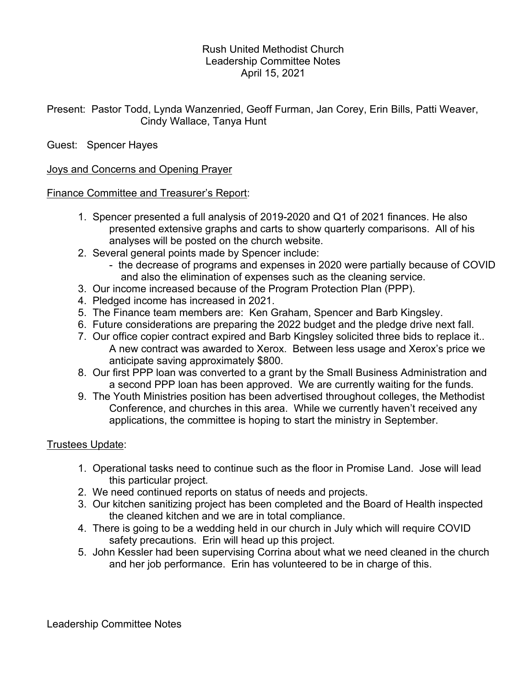## Rush United Methodist Church Leadership Committee Notes April 15, 2021

Present: Pastor Todd, Lynda Wanzenried, Geoff Furman, Jan Corey, Erin Bills, Patti Weaver, Cindy Wallace, Tanya Hunt

# Guest: Spencer Hayes

## Joys and Concerns and Opening Prayer

## Finance Committee and Treasurer's Report:

- 1. Spencer presented a full analysis of 2019-2020 and Q1 of 2021 finances. He also presented extensive graphs and carts to show quarterly comparisons. All of his analyses will be posted on the church website.
- 2. Several general points made by Spencer include:
	- the decrease of programs and expenses in 2020 were partially because of COVID and also the elimination of expenses such as the cleaning service.
- 3. Our income increased because of the Program Protection Plan (PPP).
- 4. Pledged income has increased in 2021.
- 5. The Finance team members are: Ken Graham, Spencer and Barb Kingsley.
- 6. Future considerations are preparing the 2022 budget and the pledge drive next fall.
- 7. Our office copier contract expired and Barb Kingsley solicited three bids to replace it.. A new contract was awarded to Xerox. Between less usage and Xerox's price we anticipate saving approximately \$800.
- 8. Our first PPP loan was converted to a grant by the Small Business Administration and a second PPP loan has been approved. We are currently waiting for the funds.
- 9. The Youth Ministries position has been advertised throughout colleges, the Methodist Conference, and churches in this area. While we currently haven't received any applications, the committee is hoping to start the ministry in September.

## Trustees Update:

- 1. Operational tasks need to continue such as the floor in Promise Land. Jose will lead this particular project.
- 2. We need continued reports on status of needs and projects.
- 3. Our kitchen sanitizing project has been completed and the Board of Health inspected the cleaned kitchen and we are in total compliance.
- 4. There is going to be a wedding held in our church in July which will require COVID safety precautions. Erin will head up this project.
- 5. John Kessler had been supervising Corrina about what we need cleaned in the church and her job performance. Erin has volunteered to be in charge of this.